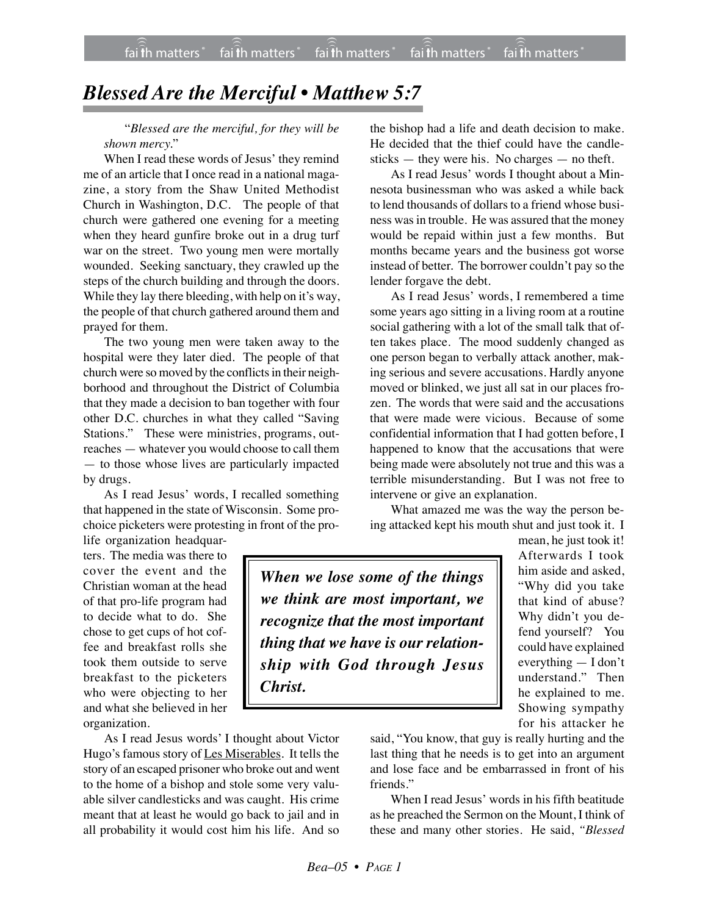## *Blessed Are the Merciful • Matthew 5:7*

"*Blessed are the merciful, for they will be shown mercy.*"

When I read these words of Jesus' they remind me of an article that I once read in a national magazine, a story from the Shaw United Methodist Church in Washington, D.C. The people of that church were gathered one evening for a meeting when they heard gunfire broke out in a drug turf war on the street. Two young men were mortally wounded. Seeking sanctuary, they crawled up the steps of the church building and through the doors. While they lay there bleeding, with help on it's way, the people of that church gathered around them and prayed for them.

The two young men were taken away to the hospital were they later died. The people of that church were so moved by the conflicts in their neighborhood and throughout the District of Columbia that they made a decision to ban together with four other D.C. churches in what they called "Saving Stations." These were ministries, programs, outreaches — whatever you would choose to call them — to those whose lives are particularly impacted by drugs.

As I read Jesus' words, I recalled something that happened in the state of Wisconsin. Some prochoice picketers were protesting in front of the pro-

life organization headquarters. The media was there to cover the event and the Christian woman at the head of that pro-life program had to decide what to do. She chose to get cups of hot coffee and breakfast rolls she took them outside to serve breakfast to the picketers who were objecting to her and what she believed in her organization.

As I read Jesus words' I thought about Victor Hugo's famous story of Les Miserables. It tells the story of an escaped prisoner who broke out and went to the home of a bishop and stole some very valuable silver candlesticks and was caught. His crime meant that at least he would go back to jail and in all probability it would cost him his life. And so

the bishop had a life and death decision to make. He decided that the thief could have the candlesticks — they were his. No charges — no theft.

As I read Jesus' words I thought about a Minnesota businessman who was asked a while back to lend thousands of dollars to a friend whose business was in trouble. He was assured that the money would be repaid within just a few months. But months became years and the business got worse instead of better. The borrower couldn't pay so the lender forgave the debt.

As I read Jesus' words, I remembered a time some years ago sitting in a living room at a routine social gathering with a lot of the small talk that often takes place. The mood suddenly changed as one person began to verbally attack another, making serious and severe accusations. Hardly anyone moved or blinked, we just all sat in our places frozen. The words that were said and the accusations that were made were vicious. Because of some confidential information that I had gotten before, I happened to know that the accusations that were being made were absolutely not true and this was a terrible misunderstanding. But I was not free to intervene or give an explanation.

What amazed me was the way the person being attacked kept his mouth shut and just took it. I

*When we lose some of the things we think are most important, we recognize that the most important thing that we have is our relationship with God through Jesus Christ.*

mean, he just took it! Afterwards I took him aside and asked, "Why did you take that kind of abuse? Why didn't you defend yourself? You could have explained everything — I don't understand." Then he explained to me. Showing sympathy for his attacker he

said, "You know, that guy is really hurting and the last thing that he needs is to get into an argument and lose face and be embarrassed in front of his friends."

When I read Jesus' words in his fifth beatitude as he preached the Sermon on the Mount, I think of these and many other stories. He said, *"Blessed*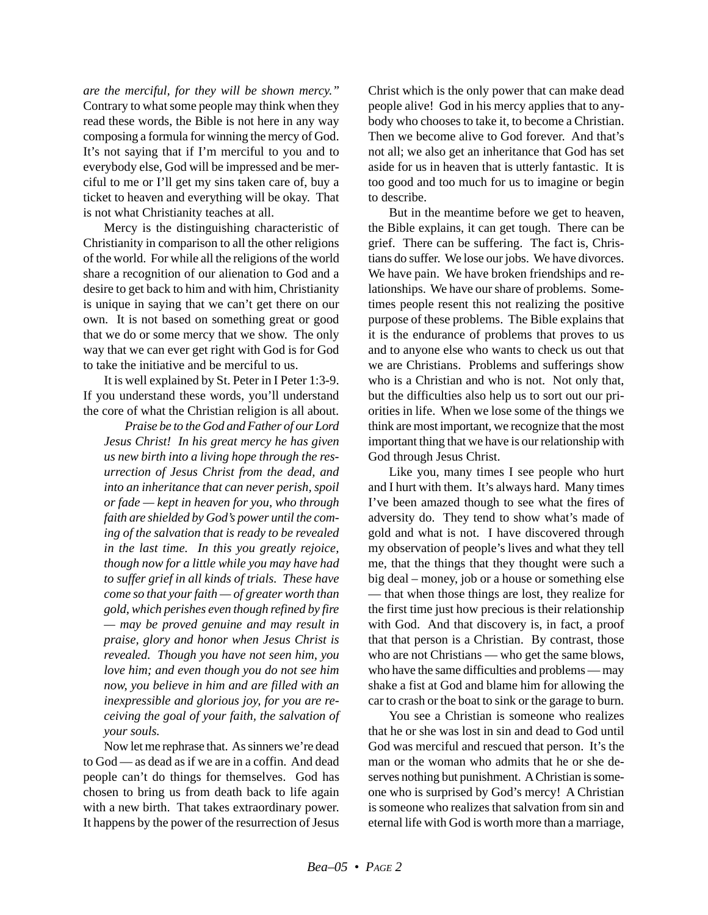*are the merciful, for they will be shown mercy."* Contrary to what some people may think when they read these words, the Bible is not here in any way composing a formula for winning the mercy of God. It's not saying that if I'm merciful to you and to everybody else, God will be impressed and be merciful to me or I'll get my sins taken care of, buy a ticket to heaven and everything will be okay. That is not what Christianity teaches at all.

Mercy is the distinguishing characteristic of Christianity in comparison to all the other religions of the world. For while all the religions of the world share a recognition of our alienation to God and a desire to get back to him and with him, Christianity is unique in saying that we can't get there on our own. It is not based on something great or good that we do or some mercy that we show. The only way that we can ever get right with God is for God to take the initiative and be merciful to us.

It is well explained by St. Peter in I Peter 1:3-9. If you understand these words, you'll understand the core of what the Christian religion is all about.

*Praise be to the God and Father of our Lord Jesus Christ! In his great mercy he has given us new birth into a living hope through the resurrection of Jesus Christ from the dead, and into an inheritance that can never perish, spoil or fade — kept in heaven for you, who through faith are shielded by God's power until the coming of the salvation that is ready to be revealed in the last time. In this you greatly rejoice, though now for a little while you may have had to suffer grief in all kinds of trials. These have come so that your faith — of greater worth than gold, which perishes even though refined by fire — may be proved genuine and may result in praise, glory and honor when Jesus Christ is revealed. Though you have not seen him, you love him; and even though you do not see him now, you believe in him and are filled with an inexpressible and glorious joy, for you are receiving the goal of your faith, the salvation of your souls.*

Now let me rephrase that. As sinners we're dead to God — as dead as if we are in a coffin. And dead people can't do things for themselves. God has chosen to bring us from death back to life again with a new birth. That takes extraordinary power. It happens by the power of the resurrection of Jesus Christ which is the only power that can make dead people alive! God in his mercy applies that to anybody who chooses to take it, to become a Christian. Then we become alive to God forever. And that's not all; we also get an inheritance that God has set aside for us in heaven that is utterly fantastic. It is too good and too much for us to imagine or begin to describe.

But in the meantime before we get to heaven, the Bible explains, it can get tough. There can be grief. There can be suffering. The fact is, Christians do suffer. We lose our jobs. We have divorces. We have pain. We have broken friendships and relationships. We have our share of problems. Sometimes people resent this not realizing the positive purpose of these problems. The Bible explains that it is the endurance of problems that proves to us and to anyone else who wants to check us out that we are Christians. Problems and sufferings show who is a Christian and who is not. Not only that, but the difficulties also help us to sort out our priorities in life. When we lose some of the things we think are most important, we recognize that the most important thing that we have is our relationship with God through Jesus Christ.

Like you, many times I see people who hurt and I hurt with them. It's always hard. Many times I've been amazed though to see what the fires of adversity do. They tend to show what's made of gold and what is not. I have discovered through my observation of people's lives and what they tell me, that the things that they thought were such a big deal – money, job or a house or something else — that when those things are lost, they realize for the first time just how precious is their relationship with God. And that discovery is, in fact, a proof that that person is a Christian. By contrast, those who are not Christians — who get the same blows, who have the same difficulties and problems — may shake a fist at God and blame him for allowing the car to crash or the boat to sink or the garage to burn.

You see a Christian is someone who realizes that he or she was lost in sin and dead to God until God was merciful and rescued that person. It's the man or the woman who admits that he or she deserves nothing but punishment. A Christian is someone who is surprised by God's mercy! A Christian is someone who realizes that salvation from sin and eternal life with God is worth more than a marriage,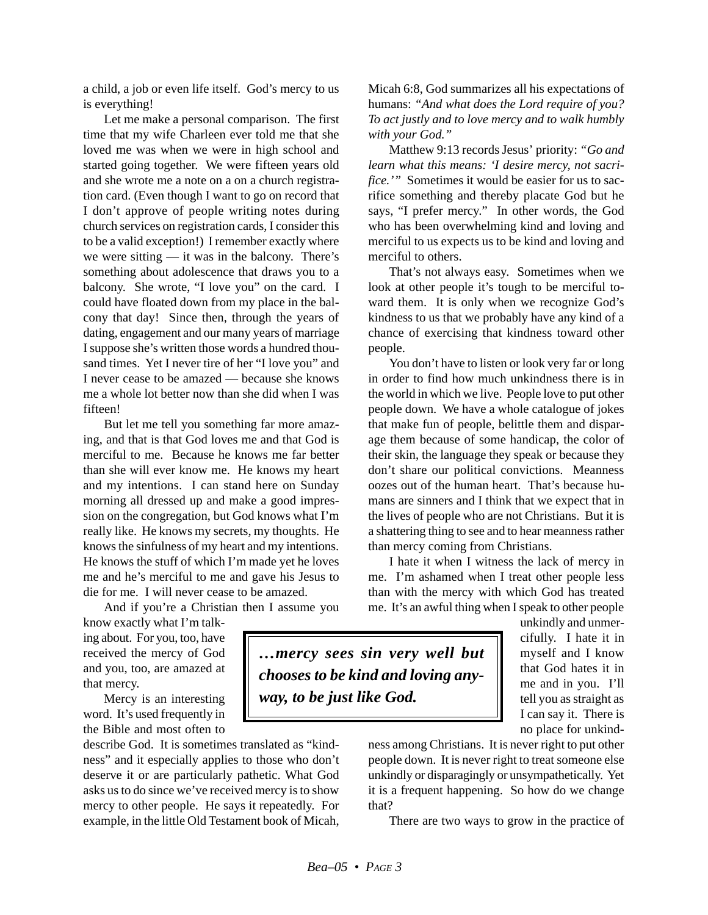a child, a job or even life itself. God's mercy to us is everything!

Let me make a personal comparison. The first time that my wife Charleen ever told me that she loved me was when we were in high school and started going together. We were fifteen years old and she wrote me a note on a on a church registration card. (Even though I want to go on record that I don't approve of people writing notes during church services on registration cards, I consider this to be a valid exception!) I remember exactly where we were sitting — it was in the balcony. There's something about adolescence that draws you to a balcony. She wrote, "I love you" on the card. I could have floated down from my place in the balcony that day! Since then, through the years of dating, engagement and our many years of marriage I suppose she's written those words a hundred thousand times. Yet I never tire of her "I love you" and I never cease to be amazed — because she knows me a whole lot better now than she did when I was fifteen!

But let me tell you something far more amazing, and that is that God loves me and that God is merciful to me. Because he knows me far better than she will ever know me. He knows my heart and my intentions. I can stand here on Sunday morning all dressed up and make a good impression on the congregation, but God knows what I'm really like. He knows my secrets, my thoughts. He knows the sinfulness of my heart and my intentions. He knows the stuff of which I'm made yet he loves me and he's merciful to me and gave his Jesus to die for me. I will never cease to be amazed.

And if you're a Christian then I assume you

know exactly what I'm talking about. For you, too, have received the mercy of God and you, too, are amazed at that mercy.

Mercy is an interesting word. It's used frequently in the Bible and most often to

describe God. It is sometimes translated as "kindness" and it especially applies to those who don't deserve it or are particularly pathetic. What God asks us to do since we've received mercy is to show mercy to other people. He says it repeatedly. For example, in the little Old Testament book of Micah, Micah 6:8, God summarizes all his expectations of humans: *"And what does the Lord require of you? To act justly and to love mercy and to walk humbly with your God."*

Matthew 9:13 records Jesus' priority: *"Go and learn what this means: 'I desire mercy, not sacrifice.'"* Sometimes it would be easier for us to sacrifice something and thereby placate God but he says, "I prefer mercy." In other words, the God who has been overwhelming kind and loving and merciful to us expects us to be kind and loving and merciful to others.

That's not always easy. Sometimes when we look at other people it's tough to be merciful toward them. It is only when we recognize God's kindness to us that we probably have any kind of a chance of exercising that kindness toward other people.

You don't have to listen or look very far or long in order to find how much unkindness there is in the world in which we live. People love to put other people down. We have a whole catalogue of jokes that make fun of people, belittle them and disparage them because of some handicap, the color of their skin, the language they speak or because they don't share our political convictions. Meanness oozes out of the human heart. That's because humans are sinners and I think that we expect that in the lives of people who are not Christians. But it is a shattering thing to see and to hear meanness rather than mercy coming from Christians.

I hate it when I witness the lack of mercy in me. I'm ashamed when I treat other people less than with the mercy with which God has treated me. It's an awful thing when I speak to other people

unkindly and unmercifully. I hate it in myself and I know that God hates it in me and in you. I'll tell you as straight as I can say it. There is no place for unkind-

ness among Christians. It is never right to put other people down. It is never right to treat someone else unkindly or disparagingly or unsympathetically. Yet it is a frequent happening. So how do we change that?

There are two ways to grow in the practice of

*…mercy sees sin very well but chooses to be kind and loving anyway, to be just like God.*